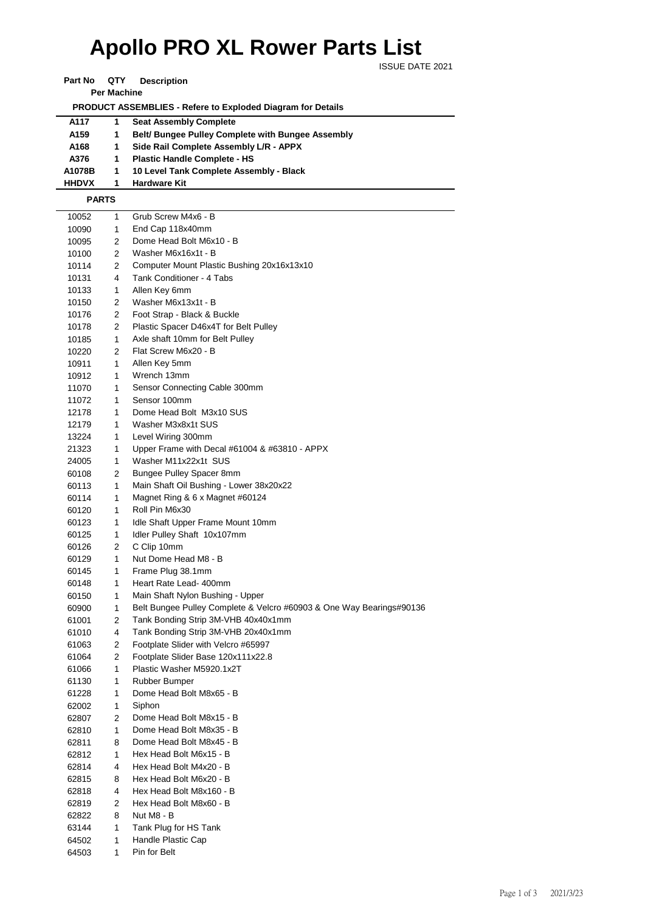## **Apollo PRO XL Rower Parts List**

ISSUE DATE 2021

**Part No QTY Description** 

**Per Machine**

 **PRODUCT ASSEMBLIES - Refere to Exploded Diagram for Details** 

| A117             | <b>Seat Assembly Complete</b>                     |
|------------------|---------------------------------------------------|
| A <sub>159</sub> | Belt/ Bungee Pulley Complete with Bungee Assembly |
| A168             | Side Rail Complete Assembly L/R - APPX            |
| A376             | <b>Plastic Handle Complete - HS</b>               |
| A1078B           | 10 Level Tank Complete Assembly - Black           |
| <b>HHDVX</b>     | <b>Hardware Kit</b>                               |

 **PARTS**

 $\overline{a}$ 

| 10052 | 1 | Grub Screw M4x6 - B                                                  |
|-------|---|----------------------------------------------------------------------|
| 10090 | 1 | End Cap 118x40mm                                                     |
| 10095 | 2 | Dome Head Bolt M6x10 - B                                             |
| 10100 | 2 | Washer M6x16x1t - B                                                  |
| 10114 | 2 | Computer Mount Plastic Bushing 20x16x13x10                           |
| 10131 | 4 | Tank Conditioner - 4 Tabs                                            |
| 10133 | 1 | Allen Key 6mm                                                        |
| 10150 | 2 | Washer M6x13x1t - B                                                  |
| 10176 | 2 | Foot Strap - Black & Buckle                                          |
| 10178 | 2 | Plastic Spacer D46x4T for Belt Pulley                                |
| 10185 | 1 | Axle shaft 10mm for Belt Pulley                                      |
| 10220 | 2 | Flat Screw M6x20 - B                                                 |
| 10911 | 1 | Allen Key 5mm                                                        |
| 10912 | 1 | Wrench 13mm                                                          |
| 11070 | 1 | Sensor Connecting Cable 300mm                                        |
| 11072 | 1 | Sensor 100mm                                                         |
| 12178 | 1 | Dome Head Bolt M3x10 SUS                                             |
| 12179 | 1 | Washer M3x8x1t SUS                                                   |
| 13224 | 1 | Level Wiring 300mm                                                   |
| 21323 | 1 | Upper Frame with Decal #61004 & #63810 - APPX                        |
| 24005 | 1 | Washer M11x22x1t SUS                                                 |
| 60108 | 2 | Bungee Pulley Spacer 8mm                                             |
| 60113 | 1 | Main Shaft Oil Bushing - Lower 38x20x22                              |
| 60114 | 1 | Magnet Ring & 6 x Magnet #60124                                      |
| 60120 | 1 | Roll Pin M6x30                                                       |
| 60123 | 1 | Idle Shaft Upper Frame Mount 10mm                                    |
| 60125 | 1 | Idler Pulley Shaft 10x107mm                                          |
| 60126 | 2 | C Clip 10mm                                                          |
| 60129 | 1 | Nut Dome Head M8 - B                                                 |
| 60145 | 1 | Frame Plug 38.1mm                                                    |
| 60148 | 1 | Heart Rate Lead- 400mm                                               |
| 60150 | 1 | Main Shaft Nylon Bushing - Upper                                     |
| 60900 | 1 | Belt Bungee Pulley Complete & Velcro #60903 & One Way Bearings#90136 |
| 61001 | 2 | Tank Bonding Strip 3M-VHB 40x40x1mm                                  |
| 61010 | 4 | Tank Bonding Strip 3M-VHB 20x40x1mm                                  |
| 61063 | 2 | Footplate Slider with Velcro #65997                                  |
| 61064 | 2 | Footplate Slider Base 120x111x22.8                                   |
| 61066 | 1 | Plastic Washer M5920.1x2T                                            |
| 61130 | 1 | Rubber Bumper                                                        |
| 61228 | 1 | Dome Head Bolt M8x65 - B                                             |
| 62002 | 1 | Siphon                                                               |
| 62807 | 2 | Dome Head Bolt M8x15 - B                                             |
| 62810 | 1 | Dome Head Bolt M8x35 - B                                             |
| 62811 | 8 | Dome Head Bolt M8x45 - B                                             |
| 62812 | 1 | Hex Head Bolt M6x15 - B                                              |
| 62814 | 4 | Hex Head Bolt M4x20 - B                                              |
| 62815 | 8 | Hex Head Bolt M6x20 - B                                              |
| 62818 | 4 | Hex Head Bolt M8x160 - B                                             |
| 62819 | 2 | Hex Head Bolt M8x60 - B                                              |
| 62822 | 8 | Nut M8 - B                                                           |
| 63144 | 1 | Tank Plug for HS Tank                                                |
| 64502 | 1 | Handle Plastic Cap                                                   |
| 64503 | 1 | Pin for Belt                                                         |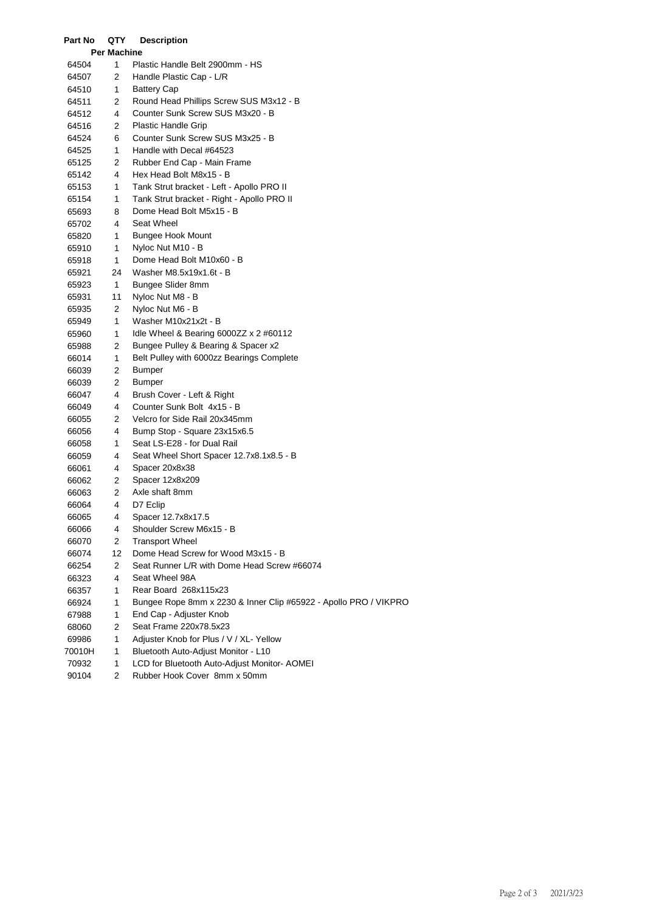| Part No | QTY                | <b>Description</b>                                               |
|---------|--------------------|------------------------------------------------------------------|
|         | <b>Per Machine</b> |                                                                  |
| 64504   | 1                  | Plastic Handle Belt 2900mm - HS                                  |
| 64507   | 2                  | Handle Plastic Cap - L/R                                         |
| 64510   | 1                  | <b>Battery Cap</b>                                               |
| 64511   | 2                  | Round Head Phillips Screw SUS M3x12 - B                          |
| 64512   | 4                  | Counter Sunk Screw SUS M3x20 - B                                 |
| 64516   | 2                  | Plastic Handle Grip                                              |
| 64524   | 6                  | Counter Sunk Screw SUS M3x25 - B                                 |
| 64525   | 1                  | Handle with Decal #64523                                         |
| 65125   | 2                  | Rubber End Cap - Main Frame                                      |
| 65142   | 4                  | Hex Head Bolt M8x15 - B                                          |
| 65153   | 1                  | Tank Strut bracket - Left - Apollo PRO II                        |
| 65154   | 1                  | Tank Strut bracket - Right - Apollo PRO II                       |
| 65693   | 8                  | Dome Head Bolt M5x15 - B                                         |
| 65702   | 4                  | Seat Wheel                                                       |
| 65820   | 1                  | <b>Bungee Hook Mount</b>                                         |
| 65910   | 1                  | Nyloc Nut M10 - B                                                |
| 65918   | 1                  | Dome Head Bolt M10x60 - B                                        |
| 65921   | 24                 | Washer M8.5x19x1.6t - B                                          |
| 65923   | 1                  | Bungee Slider 8mm                                                |
| 65931   | 11                 | Nyloc Nut M8 - B                                                 |
| 65935   | 2                  | Nyloc Nut M6 - B                                                 |
| 65949   | 1                  | Washer M10x21x2t - B                                             |
| 65960   | 1                  | Idle Wheel & Bearing $6000ZZ \times 2 \#60112$                   |
| 65988   | 2                  | Bungee Pulley & Bearing & Spacer x2                              |
| 66014   | 1                  | Belt Pulley with 6000zz Bearings Complete                        |
| 66039   | 2                  | Bumper                                                           |
| 66039   | 2                  | Bumper                                                           |
| 66047   | 4                  | Brush Cover - Left & Right                                       |
| 66049   | 4                  | Counter Sunk Bolt 4x15 - B                                       |
| 66055   | 2                  | Velcro for Side Rail 20x345mm                                    |
| 66056   | 4                  | Bump Stop - Square 23x15x6.5                                     |
| 66058   | 1                  | Seat LS-E28 - for Dual Rail                                      |
| 66059   | 4                  | Seat Wheel Short Spacer 12.7x8.1x8.5 - B                         |
| 66061   | 4                  | Spacer 20x8x38                                                   |
| 66062   | 2                  | Spacer 12x8x209                                                  |
| 66063   | 2                  | Axle shaft 8mm                                                   |
| 66064   | 4                  | D7 Eclip                                                         |
| 66065   | 4                  | Spacer 12.7x8x17.5                                               |
| 66066   | 4                  | Shoulder Screw M6x15 - B                                         |
| 66070   | 2                  | <b>Transport Wheel</b>                                           |
| 66074   | 12                 | Dome Head Screw for Wood M3x15 - B                               |
| 66254   | 2                  | Seat Runner L/R with Dome Head Screw #66074                      |
| 66323   | 4                  | Seat Wheel 98A                                                   |
| 66357   | 1                  | Rear Board 268x115x23                                            |
| 66924   | 1                  | Bungee Rope 8mm x 2230 & Inner Clip #65922 - Apollo PRO / VIKPRO |
| 67988   | 1                  | End Cap - Adjuster Knob                                          |
| 68060   | 2                  | Seat Frame 220x78.5x23                                           |
| 69986   | 1                  | Adjuster Knob for Plus / V / XL- Yellow                          |
| 70010H  | 1                  | Bluetooth Auto-Adjust Monitor - L10                              |
| 70932   | 1                  | LCD for Bluetooth Auto-Adjust Monitor- AOMEI                     |
| 90104   | 2                  | Rubber Hook Cover 8mm x 50mm                                     |